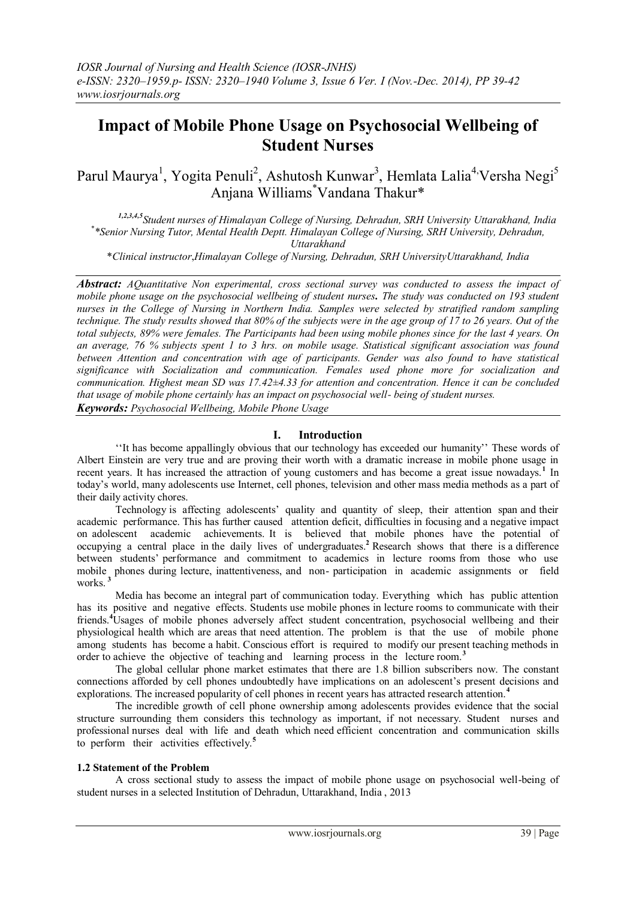# **Impact of Mobile Phone Usage on Psychosocial Wellbeing of Student Nurses**

Parul Maurya<sup>1</sup>, Yogita Penuli<sup>2</sup>, Ashutosh Kunwar<sup>3</sup>, Hemlata Lalia<sup>4,</sup>Versha Negi<sup>5</sup> Anjana Williams\*Vandana Thakur\*

*1,2,3,4,5Student nurses of Himalayan College of Nursing, Dehradun, SRH University Uttarakhand, India \* \*Senior Nursing Tutor, Mental Health Deptt. Himalayan College of Nursing, SRH University, Dehradun, Uttarakhand*

\**Clinical instructor*,*Himalayan College of Nursing, Dehradun, SRH UniversityUttarakhand, India*

*Abstract: AQuantitative Non experimental, cross sectional survey was conducted to assess the impact of mobile phone usage on the psychosocial wellbeing of student nurses. The study was conducted on 193 student nurses in the College of Nursing in Northern India. Samples were selected by stratified random sampling technique. The study results showed that 80% of the subjects were in the age group of 17 to 26 years. Out of the total subjects, 89% were females. The Participants had been using mobile phones since for the last 4 years. On an average, 76 % subjects spent 1 to 3 hrs. on mobile usage. Statistical significant association was found between Attention and concentration with age of participants. Gender was also found to have statistical significance with Socialization and communication. Females used phone more for socialization and communication. Highest mean SD was 17.42±4.33 for attention and concentration. Hence it can be concluded that usage of mobile phone certainly has an impact on psychosocial well- being of student nurses. Keywords: Psychosocial Wellbeing, Mobile Phone Usage*

## **I. Introduction**

''It has become appallingly obvious that our technology has exceeded our humanity'' These words of Albert Einstein are very true and are proving their worth with a dramatic increase in mobile phone usage in recent years. It has increased the attraction of young customers and has become a great issue nowadays.<sup>1</sup> In today's world, many adolescents use Internet, cell phones, television and other mass media methods as a part of their daily activity chores.

Technology is affecting adolescents' quality and quantity of sleep, their attention span and their academic performance. This has further caused attention deficit, difficulties in focusing and a negative impact on adolescent academic achievements. It is believed that mobile phones have the potential of occupying a central place in the daily lives of undergraduates.**<sup>2</sup>** Research shows that there is a difference between students' performance and commitment to academics in lecture rooms from those who use mobile phones during lecture, inattentiveness, and non- participation in academic assignments or field works. **<sup>3</sup>**

Media has become an integral part of communication today. Everything which has public attention has its positive and negative effects. Students use mobile phones in lecture rooms to communicate with their friends.**<sup>4</sup>**Usages of mobile phones adversely affect student concentration, psychosocial wellbeing and their physiological health which are areas that need attention. The problem is that the use of mobile phone among students has become a habit. Conscious effort is required to modify our present teaching methods in order to achieve the objective of teaching and learning process in the lecture room.**<sup>3</sup>**

The global cellular phone market estimates that there are 1.8 billion subscribers now. The constant connections afforded by cell phones undoubtedly have implications on an adolescent's present decisions and explorations. The increased popularity of cell phones in recent years has attracted research attention.**<sup>4</sup>**

The incredible growth of cell phone ownership among adolescents provides evidence that the social structure surrounding them considers this technology as important, if not necessary. Student nurses and professional nurses deal with life and death which need efficient concentration and communication skills to perform their activities effectively.**<sup>5</sup>**

#### **1.2 Statement of the Problem**

A cross sectional study to assess the impact of mobile phone usage on psychosocial well-being of student nurses in a selected Institution of Dehradun, Uttarakhand, India , 2013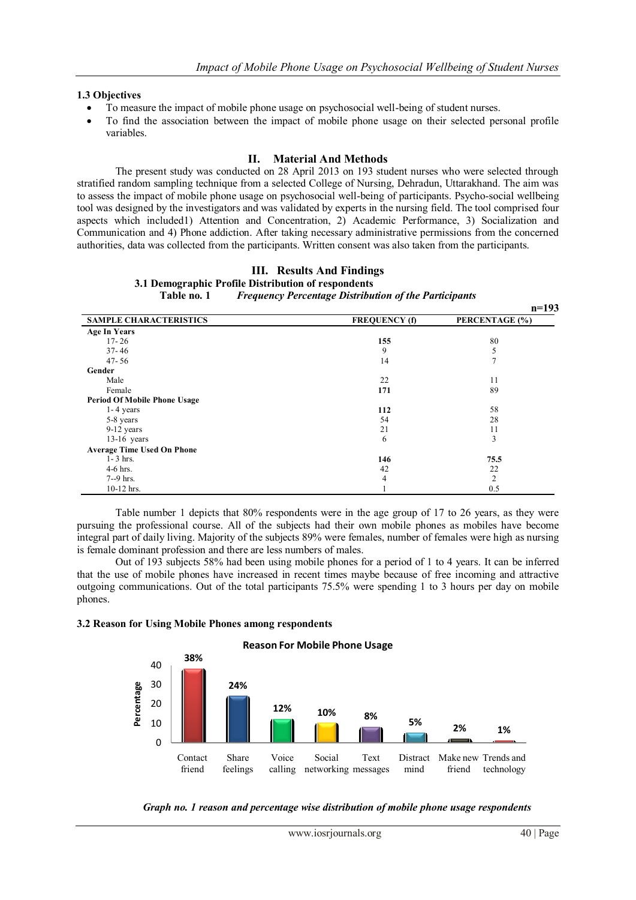#### **1.3 Objectives**

- To measure the impact of mobile phone usage on psychosocial well-being of student nurses.
- To find the association between the impact of mobile phone usage on their selected personal profile variables.

## **II. Material And Methods**

The present study was conducted on 28 April 2013 on 193 student nurses who were selected through stratified random sampling technique from a selected College of Nursing, Dehradun, Uttarakhand. The aim was to assess the impact of mobile phone usage on psychosocial well-being of participants. Psycho-social wellbeing tool was designed by the investigators and was validated by experts in the nursing field. The tool comprised four aspects which included1) Attention and Concentration, 2) Academic Performance, 3) Socialization and Communication and 4) Phone addiction. After taking necessary administrative permissions from the concerned authorities, data was collected from the participants. Written consent was also taken from the participants.

## **III. Results And Findings**

**3.1 Demographic Profile Distribution of respondents Frequency Percentage Distribution of the Participants** 

|                                     |                      | $II - I 32$    |
|-------------------------------------|----------------------|----------------|
| <b>SAMPLE CHARACTERISTICS</b>       | <b>FREQUENCY</b> (f) | PERCENTAGE (%) |
| <b>Age In Years</b>                 |                      |                |
| $17 - 26$                           | 155                  | 80             |
| $37 - 46$                           | 9                    | 5              |
| $47 - 56$                           | 14                   | $\overline{7}$ |
| Gender                              |                      |                |
| Male                                | 22                   | 11             |
| Female                              | 171                  | 89             |
| <b>Period Of Mobile Phone Usage</b> |                      |                |
| $1 - 4$ years                       | 112                  | 58             |
| 5-8 years                           | 54                   | 28             |
| 9-12 years                          | 21                   | 11             |
| $13-16$ years                       | 6                    | 3              |
| <b>Average Time Used On Phone</b>   |                      |                |
| $1 - 3$ hrs.                        | 146                  | 75.5           |
| $4-6$ hrs.                          | 42                   | 22             |
| $7-9$ hrs.                          | 4                    | $\overline{2}$ |
| $10-12$ hrs.                        |                      | 0.5            |

Table number 1 depicts that 80% respondents were in the age group of 17 to 26 years, as they were pursuing the professional course. All of the subjects had their own mobile phones as mobiles have become integral part of daily living. Majority of the subjects 89% were females, number of females were high as nursing is female dominant profession and there are less numbers of males.

Out of 193 subjects 58% had been using mobile phones for a period of 1 to 4 years. It can be inferred that the use of mobile phones have increased in recent times maybe because of free incoming and attractive outgoing communications. Out of the total participants 75.5% were spending 1 to 3 hours per day on mobile phones.

#### **3.2 Reason for Using Mobile Phones among respondents**





103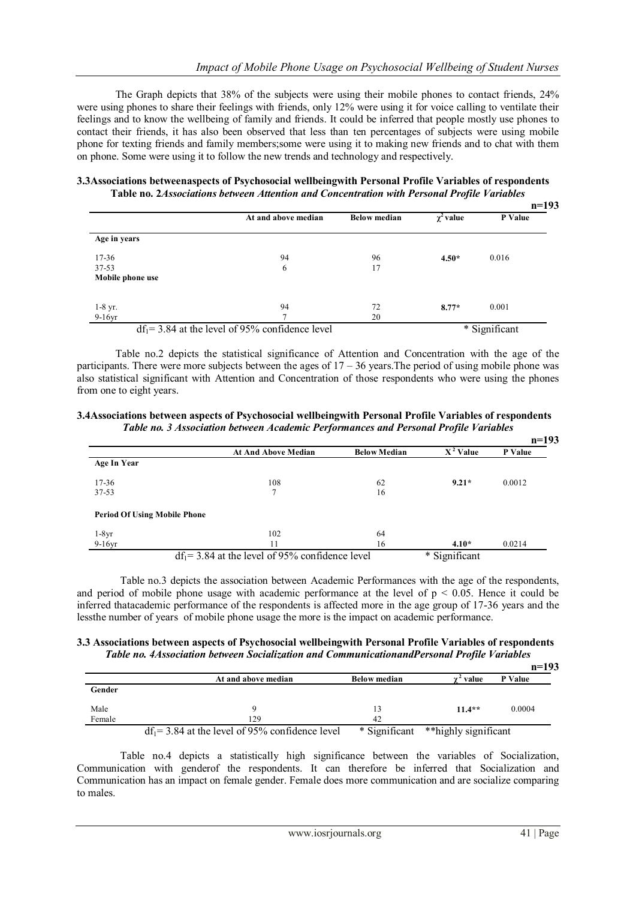The Graph depicts that 38% of the subjects were using their mobile phones to contact friends, 24% were using phones to share their feelings with friends, only 12% were using it for voice calling to ventilate their feelings and to know the wellbeing of family and friends. It could be inferred that people mostly use phones to contact their friends, it has also been observed that less than ten percentages of subjects were using mobile phone for texting friends and family members;some were using it to making new friends and to chat with them on phone. Some were using it to follow the new trends and technology and respectively.

**3.3Associations betweenaspects of Psychosocial wellbeingwith Personal Profile Variables of respondents Table no. 2***Associations between Attention and Concentration with Personal Profile Variables*

|                      |                                                    |                     |                | $n=193$       |
|----------------------|----------------------------------------------------|---------------------|----------------|---------------|
|                      | At and above median                                | <b>Below median</b> | $\chi^2$ value | P Value       |
| Age in years         |                                                    |                     |                |               |
| $17 - 36$            | 94                                                 | 96                  | $4.50*$        | 0.016         |
| 37-53                | 6                                                  | 17                  |                |               |
| Mobile phone use     |                                                    |                     |                |               |
|                      | 94                                                 | 72                  | $8.77*$        | 0.001         |
| $1-8$ yr.<br>9-16 yr | $\mathbf{r}$                                       | 20                  |                |               |
|                      | $df_1 = 3.84$ at the level of 95% confidence level |                     |                | * Significant |

Table no.2 depicts the statistical significance of Attention and Concentration with the age of the participants. There were more subjects between the ages of  $17 - 36$  years. The period of using mobile phone was also statistical significant with Attention and Concentration of those respondents who were using the phones from one to eight years.

**3.4Associations between aspects of Psychosocial wellbeingwith Personal Profile Variables of respondents** *Table no. 3 Association between Academic Performances and Personal Profile Variables*

|                                     |                                                    |                     |               | $n=193$ |
|-------------------------------------|----------------------------------------------------|---------------------|---------------|---------|
|                                     | <b>At And Above Median</b>                         | <b>Below Median</b> | $X^2$ Value   | P Value |
| <b>Age In Year</b>                  |                                                    |                     |               |         |
| $17 - 36$                           | 108                                                | 62                  | $9.21*$       | 0.0012  |
| $37 - 53$                           |                                                    | 16                  |               |         |
| <b>Period Of Using Mobile Phone</b> |                                                    |                     |               |         |
| $1-8yr$                             | 102                                                | 64                  |               |         |
| $9-16yr$                            | 11                                                 | 16                  | $4.10*$       | 0.0214  |
|                                     | $df_1 = 3.84$ at the level of 95% confidence level |                     | * Significant |         |

Table no.3 depicts the association between Academic Performances with the age of the respondents, and period of mobile phone usage with academic performance at the level of  $p < 0.05$ . Hence it could be inferred thatacademic performance of the respondents is affected more in the age group of 17-36 years and the lessthe number of years of mobile phone usage the more is the impact on academic performance.

|  |  |  |                                                                                             |  | 3.3 Associations between aspects of Psychosocial wellbeingwith Personal Profile Variables of respondents |
|--|--|--|---------------------------------------------------------------------------------------------|--|----------------------------------------------------------------------------------------------------------|
|  |  |  | Table no. 4Association between Socialization and CommunicationandPersonal Profile Variables |  |                                                                                                          |

|        |                                                    |                     |                      | $n=193$ |
|--------|----------------------------------------------------|---------------------|----------------------|---------|
|        | At and above median                                | <b>Below median</b> | y " value            | P Value |
| Gender |                                                    |                     |                      |         |
| Male   |                                                    | 13                  | $11.4**$             | 0.0004  |
| Female | 129                                                | 42                  |                      |         |
|        | $df_1 = 3.84$ at the level of 95% confidence level | * Significant       | **highly significant |         |

Table no.4 depicts a statistically high significance between the variables of Socialization, Communication with genderof the respondents. It can therefore be inferred that Socialization and Communication has an impact on female gender. Female does more communication and are socialize comparing to males.